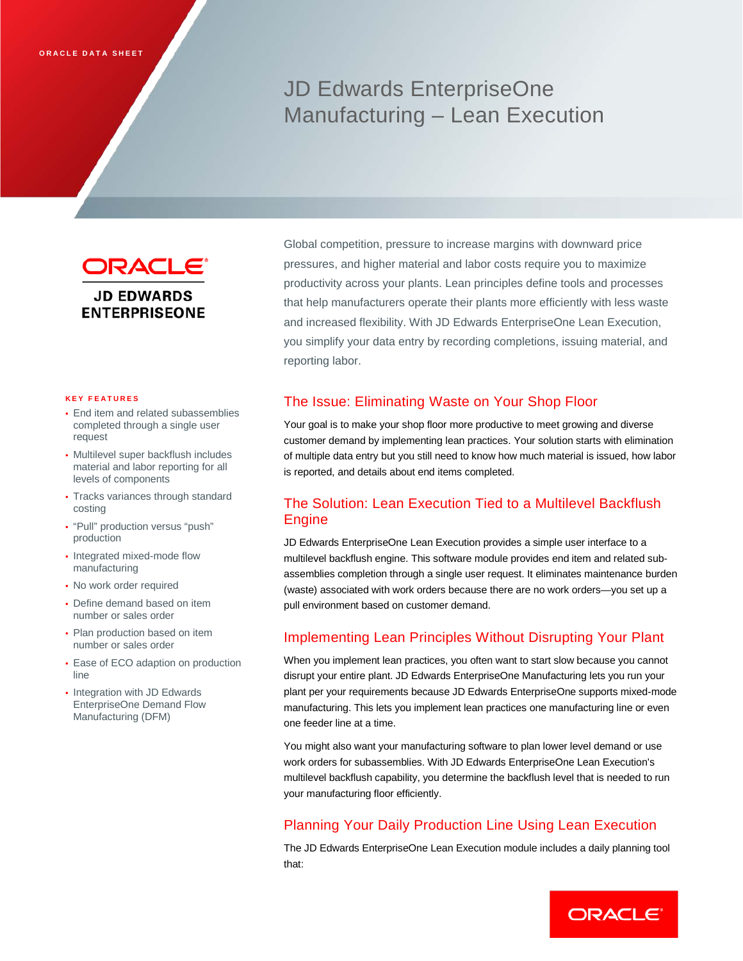# JD Edwards EnterpriseOne Manufacturing – Lean Execution

ORACLE<sup>®</sup> **JD EDWARDS ENTERPRISEONE** 

#### **KEY FEATURES**

- End item and related subassemblies completed through a single user request
- Multilevel super backflush includes material and labor reporting for all levels of components
- Tracks variances through standard costing
- "Pull" production versus "push" production
- Integrated mixed-mode flow manufacturing
- No work order required
- Define demand based on item number or sales order
- Plan production based on item number or sales order
- Ease of ECO adaption on production line
- Integration with JD Edwards EnterpriseOne Demand Flow Manufacturing (DFM)

Global competition, pressure to increase margins with downward price pressures, and higher material and labor costs require you to maximize productivity across your plants. Lean principles define tools and processes that help manufacturers operate their plants more efficiently with less waste and increased flexibility. With JD Edwards EnterpriseOne Lean Execution, you simplify your data entry by recording completions, issuing material, and reporting labor.

### The Issue: Eliminating Waste on Your Shop Floor

Your goal is to make your shop floor more productive to meet growing and diverse customer demand by implementing lean practices. Your solution starts with elimination of multiple data entry but you still need to know how much material is issued, how labor is reported, and details about end items completed.

# The Solution: Lean Execution Tied to a Multilevel Backflush Engine

JD Edwards EnterpriseOne Lean Execution provides a simple user interface to a multilevel backflush engine. This software module provides end item and related subassemblies completion through a single user request. It eliminates maintenance burden (waste) associated with work orders because there are no work orders—you set up a pull environment based on customer demand.

### Implementing Lean Principles Without Disrupting Your Plant

When you implement lean practices, you often want to start slow because you cannot disrupt your entire plant. JD Edwards EnterpriseOne Manufacturing lets you run your plant per your requirements because JD Edwards EnterpriseOne supports mixed-mode manufacturing. This lets you implement lean practices one manufacturing line or even one feeder line at a time.

You might also want your manufacturing software to plan lower level demand or use work orders for subassemblies. With JD Edwards EnterpriseOne Lean Execution's multilevel backflush capability, you determine the backflush level that is needed to run your manufacturing floor efficiently.

# Planning Your Daily Production Line Using Lean Execution

The JD Edwards EnterpriseOne Lean Execution module includes a daily planning tool that:

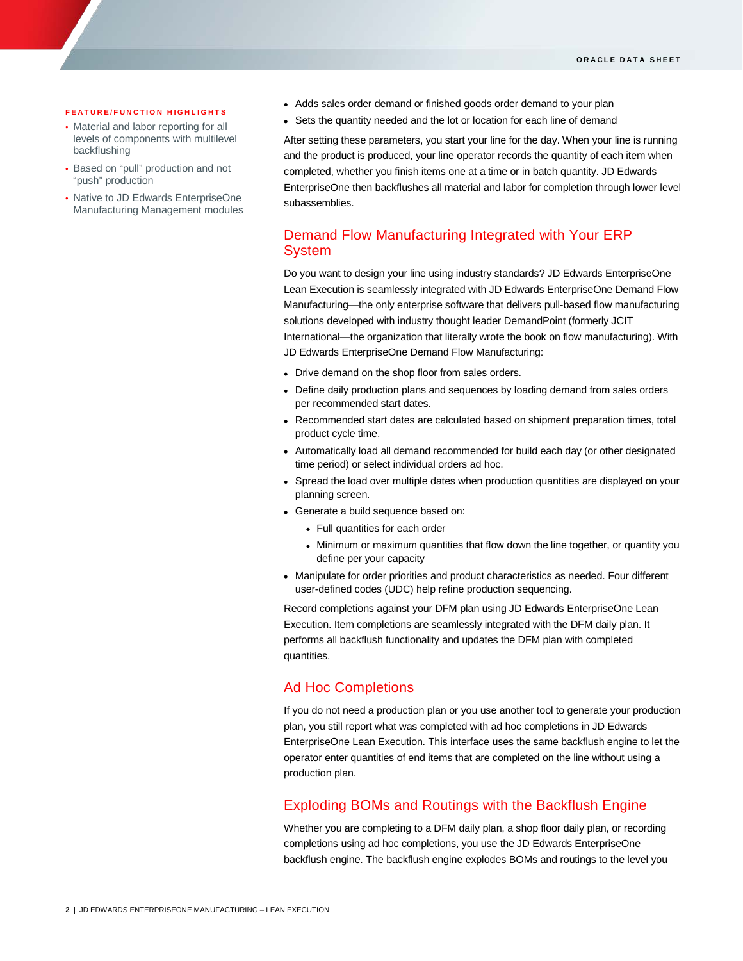#### **FEATURE/FUNCTION HIGHLIGHTS**

ī

- Material and labor reporting for all levels of components with multilevel backflushing
- Based on "pull" production and not "push" production
- Native to JD Edwards EnterpriseOne Manufacturing Management modules
- Adds sales order demand or finished goods order demand to your plan
- Sets the quantity needed and the lot or location for each line of demand

After setting these parameters, you start your line for the day. When your line is running and the product is produced, your line operator records the quantity of each item when completed, whether you finish items one at a time or in batch quantity. JD Edwards EnterpriseOne then backflushes all material and labor for completion through lower level subassemblies.

## Demand Flow Manufacturing Integrated with Your ERP System

Do you want to design your line using industry standards? JD Edwards EnterpriseOne Lean Execution is seamlessly integrated with JD Edwards EnterpriseOne Demand Flow Manufacturing—the only enterprise software that delivers pull-based flow manufacturing solutions developed with industry thought leader DemandPoint (formerly JCIT International—the organization that literally wrote the book on flow manufacturing). With JD Edwards EnterpriseOne Demand Flow Manufacturing:

- Drive demand on the shop floor from sales orders.
- Define daily production plans and sequences by loading demand from sales orders per recommended start dates.
- Recommended start dates are calculated based on shipment preparation times, total product cycle time,
- Automatically load all demand recommended for build each day (or other designated time period) or select individual orders ad hoc.
- Spread the load over multiple dates when production quantities are displayed on your planning screen.
- Generate a build sequence based on:
	- Full quantities for each order
	- Minimum or maximum quantities that flow down the line together, or quantity you define per your capacity
- Manipulate for order priorities and product characteristics as needed. Four different user-defined codes (UDC) help refine production sequencing.

Record completions against your DFM plan using JD Edwards EnterpriseOne Lean Execution. Item completions are seamlessly integrated with the DFM daily plan. It performs all backflush functionality and updates the DFM plan with completed quantities.

### Ad Hoc Completions

If you do not need a production plan or you use another tool to generate your production plan, you still report what was completed with ad hoc completions in JD Edwards EnterpriseOne Lean Execution. This interface uses the same backflush engine to let the operator enter quantities of end items that are completed on the line without using a production plan.

### Exploding BOMs and Routings with the Backflush Engine

Whether you are completing to a DFM daily plan, a shop floor daily plan, or recording completions using ad hoc completions, you use the JD Edwards EnterpriseOne backflush engine. The backflush engine explodes BOMs and routings to the level you